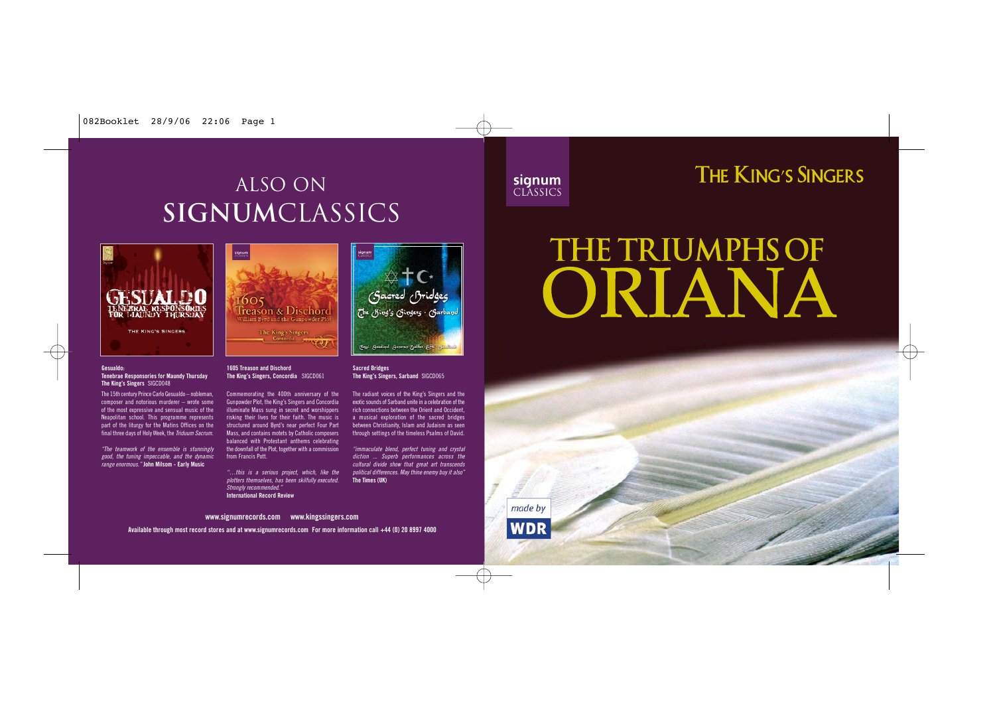# ALSO on **signum**classics



# THE KING'S SINGERS



#### **Gesualdo:**

#### **Tenebrae Responsories for Maundy Thursday The King's Singers** SIGCD048

The 15th century Prince Carlo Gesualdo – nobleman, composer and notorious murderer – wrote some of the most expressive and sensual music of the Neapolitan school. This programme represents part of the liturgy for the Matins Offices on the final three days of Holy Week, the Triduum Sacrum.

"The teamwork of the ensemble is stunningly good, the tuning impeccable, and the dynamic range enormous." **John Milsom - Early Music** 



**1605 Treason and Dischord The King's Singers, Concordia** SIGCD061

Commemorating the 400th anniversary of the Gunpowder Plot, the King's Singers and Concordia illuminate Mass sung in secret and worshippers risking their lives for their faith. The music is structured around Byrd's near perfect Four Part Mass, and contains motets by Catholic composers balanced with Protestant anthems celebrating the downfall of the Plot, together with a commission from Francis Pott.

"…this is a serious project, which, like the plotters themselves, has been skilfully executed. Strongly recommended." **International Record Review**



#### **Sacred Bridges The King's Singers, Sarband** SIGCD065

The radiant voices of the King's Singers and the exotic sounds of Sarband unite in a celebration of the rich connections between the Orient and Occident, a musical exploration of the sacred bridges between Christianity, Islam and Judaism as seen through settings of the timeless Psalms of David.

"immaculate blend, perfect tuning and crystal diction ... Superb performances across the cultural divide show that great art transcends political differences. May thine enemy buy it also" **The Times (UK)**

# **THE TRIUMPHS OF** ORIANA

made by **WDR** 

**Available through most record stores and at www.signumrecords.com For more information call +44 (0) 20 8997 4000 www.signumrecords.com www.kingssingers.com**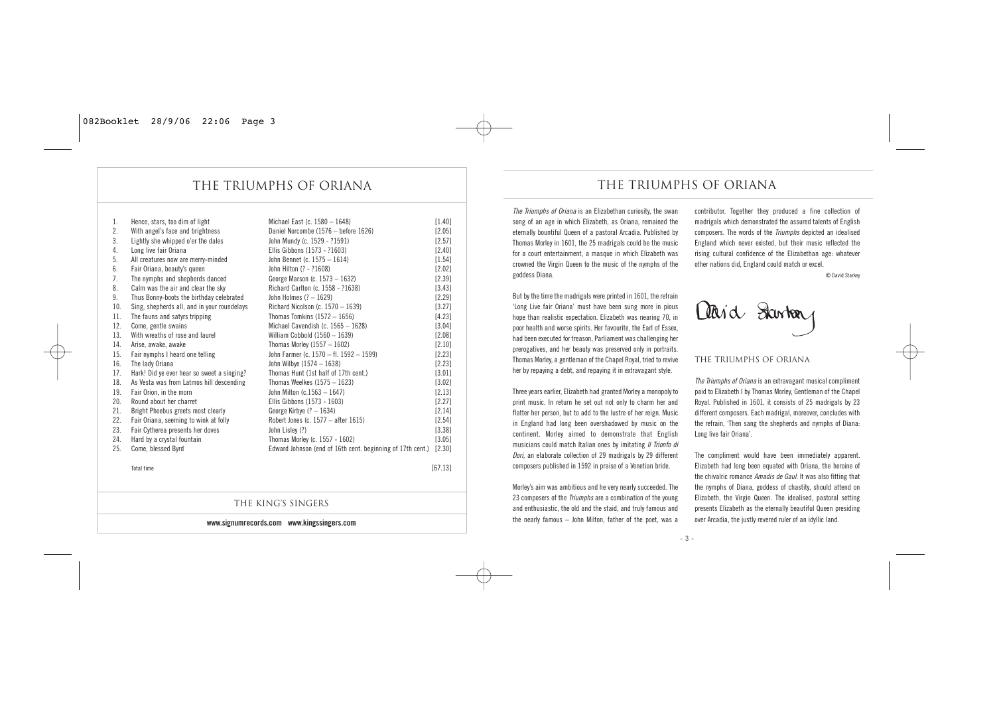### the triumphs of oriana the triumphs of oriana

| 1.  | Hence, stars, too dim of light              | Michael East (c. 1580 - 1648)                              | [1.40]   |
|-----|---------------------------------------------|------------------------------------------------------------|----------|
| 2.  | With angel's face and brightness            | Daniel Norcombe (1576 - before 1626)                       | $[2.05]$ |
| 3.  | Lightly she whipped o'er the dales          | John Mundy (c. 1529 - ?1591)                               | [2.57]   |
| 4.  | Long live fair Oriana                       | Ellis Gibbons (1573 - ?1603)                               | $[2.40]$ |
| 5.  | All creatures now are merry-minded          | John Bennet (c. 1575 - 1614)                               | [1.54]   |
| 6.  | Fair Oriana, beauty's queen                 | John Hilton (? - ?1608)                                    | [2.02]   |
| 7.  | The nymphs and shepherds danced             | George Marson (c. 1573 - 1632)                             | [2.39]   |
| 8.  | Calm was the air and clear the sky          | Richard Carlton (c. 1558 - ?1638)                          | [3.43]   |
| 9.  | Thus Bonny-boots the birthday celebrated    | John Holmes $(? - 1629)$                                   | $[2.29]$ |
| 10. | Sing, shepherds all, and in your roundelays | Richard Nicolson (c. $1570 - 1639$ )                       | [3.27]   |
| 11. | The fauns and satyrs tripping               | Thomas Tomkins $(1572 - 1656)$                             | [4.23]   |
| 12. | Come, gentle swains                         | Michael Cavendish (c. $1565 - 1628$ )                      | [3.04]   |
| 13. | With wreaths of rose and laurel             | William Cobbold $(1560 - 1639)$                            | [2.08]   |
| 14. | Arise, awake, awake                         | Thomas Morley $(1557 - 1602)$                              | [2.10]   |
| 15. | Fair nymphs I heard one telling             | John Farmer (c. 1570 - fl. 1592 - 1599)                    | [2.23]   |
| 16. | The lady Oriana                             | John Wilbye (1574 - 1638)                                  | [2.23]   |
| 17. | Hark! Did ye ever hear so sweet a singing?  | Thomas Hunt (1st half of 17th cent.)                       | [3.01]   |
| 18. | As Vesta was from Latmos hill descending    | Thomas Weelkes $(1575 - 1623)$                             | [3.02]   |
| 19. | Fair Orion, in the morn                     | John Milton (c.1563 - 1647)                                | [2.13]   |
| 20. | Round about her charret                     | Ellis Gibbons (1573 - 1603)                                | [2.27]   |
| 21. | Bright Phoebus greets most clearly          | George Kirbye $(? - 1634)$                                 | [2.14]   |
| 22. | Fair Oriana, seeming to wink at folly       | Robert Jones (c. $1577 -$ after 1615)                      | [2.54]   |
| 23. | Fair Cytherea presents her doves            | John Lisley (?)                                            | [3.38]   |
| 24. | Hard by a crystal fountain                  | Thomas Morley (c. 1557 - 1602)                             | [3.05]   |
| 25. | Come, blessed Byrd                          | Edward Johnson (end of 16th cent. beginning of 17th cent.) | [2.30]   |

The king's singers

**www.signumrecords.com www.kingssingers.com**

*Total time [67.13]* 

*The Triumphs of Oriana is an Elizabethan curiosity, the swan song of an age in which Elizabeth, as Oriana, remained the eternally bountiful Queen of a pastoral Arcadia. Published by Thomas Morley in 1601, the 25 madrigals could be the music for a court entertainment, a masque in which Elizabeth was crowned the Virgin Queen to the music of the nymphs of the goddess Diana.* 

*But by the time the madrigals were printed in 1601, the refrain 'Long Live fair Oriana' must have been sung more in pious hope than realistic expectation. Elizabeth was nearing 70, in poor health and worse spirits. Her favourite, the Earl of Essex, had been executed for treason, Parliament was challenging her prerogatives, and her beauty was preserved only in portraits. Thomas Morley, a gentleman of the Chapel Royal, tried to revive her by repaying a debt, and repaying it in extravagant style.* 

*Three years earlier, Elizabeth had granted Morley a monopoly to print music. In return he set out not only to charm her and flatter her person, but to add to the lustre of her reign. Music in England had long been overshadowed by music on the continent. Morley aimed to demonstrate that English musicians could match Italian ones by imitating Il Trionfo di Dori, an elaborate collection of 29 madrigals by 29 different composers published in 1592 in praise of a Venetian bride.* 

*Morley's aim was ambitious and he very nearly succeeded. The 23 composers of the Triumphs are a combination of the young and enthusiastic, the old and the staid, and truly famous and the nearly famous – John Milton, father of the poet, was a* *contributor. Together they produced a fine collection of madrigals which demonstrated the assured talents of English composers. The words of the Triumphs depicted an idealised England which never existed, but their music reflected the rising cultural confidence of the Elizabethan age: whatever other nations did, England could match or excel.* 

*© David Starkey*



#### The Triumphs of Oriana

*The Triumphs of Oriana is an extravagant musical compliment paid to Elizabeth I by Thomas Morley, Gentleman of the Chapel Royal. Published in 1601, it consists of 25 madrigals by 23 different composers. Each madrigal, moreover, concludes with the refrain, 'Then sang the shepherds and nymphs of Diana: Long live fair Oriana'.*

*The compliment would have been immediately apparent. Elizabeth had long been equated with Oriana, the heroine of the chivalric romance Amadis de Gaul. It was also fitting that the nymphs of Diana, goddess of chastity, should attend on Elizabeth, the Virgin Queen. The idealised, pastoral setting presents Elizabeth as the eternally beautiful Queen presiding over Arcadia, the justly revered ruler of an idyllic land.*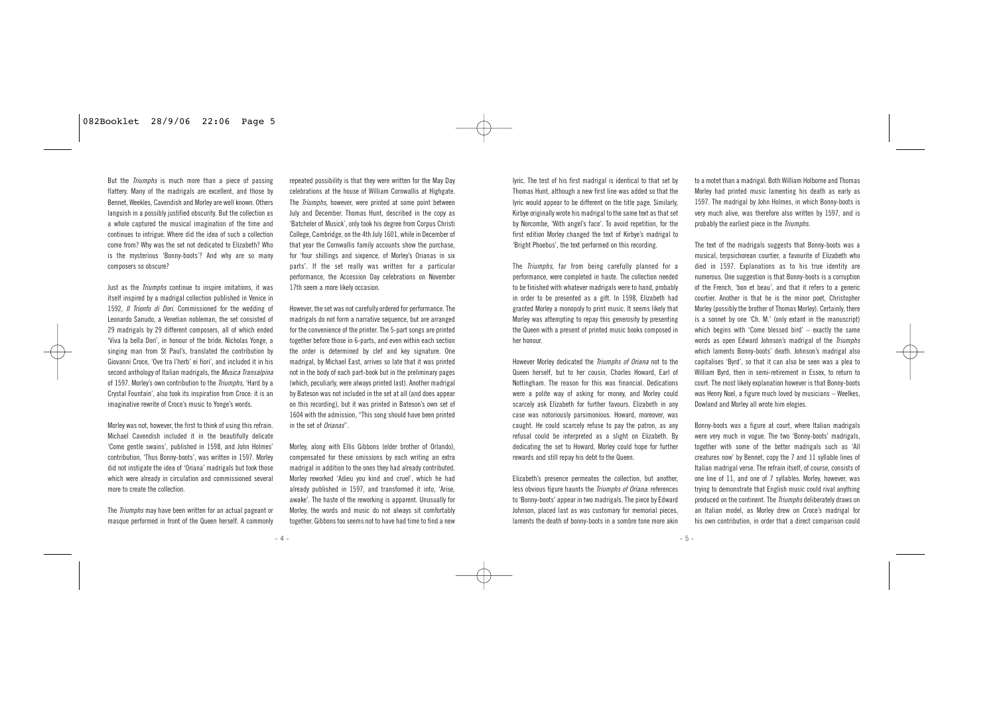But the Triumphs is much more than a piece of passing flattery. Many of the madrigals are excellent, and those by Bennet, Weekles, Cavendish and Morley are well known. Others languish in a possibly justified obscurity. But the collection as a whole captured the musical imagination of the time and continues to intrigue. Where did the idea of such a collection come from? Why was the set not dedicated to Elizabeth? Who is the mysterious 'Bonny-boots'? And why are so many composers so obscure?

Just as the Triumphs continue to inspire imitations, it was itself inspired by a madrigal collection published in Venice in 1592, *Il Trionfo di Dori*. Commissioned for the wedding of Leonardo Sanudo, a Venetian nobleman, the set consisted of 29 madrigals by 29 different composers, all of which ended 'Viva la bella Dori' in honour of the bride. Nicholas Yonge, a singing man from St Paul's, translated the contribution by Giovanni Croce, 'Ove tra l'herb' ei fiori', and included it in his second anthology of Italian madrigals, the *Musica Transalpina* of 1597. Morley's own contribution to the Triumphs, 'Hard by a Crystal Fountain', also took its inspiration from Croce: it is an imaginative rewrite of Croce's music to Yonge's words.

Morley was not, however, the first to think of using this refrain. Michael Cavendish included it in the beautifully delicate 'Come gentle swains', published in 1598, and John Holmes' contribution, 'Thus Bonny-boots', was written in 1597. Morley did not instigate the idea of 'Oriana' madrigals but took those which were already in circulation and commissioned several more to create the collection.

The Triumphs may have been written for an actual pageant or masque performed in front of the Queen herself. A commonly repeated possibility is that they were written for the May Day celebrations at the house of William Cornwallis at Highgate. The *Triumphs*, however, were printed at some point between July and December. Thomas Hunt, described in the copy as 'Batcheler of Musick', only took his degree from Corpus Christi College, Cambridge, on the 4th July 1601, while in December of that year the Cornwallis family accounts show the purchase, for 'four shillings and sixpence, of Morley's Orianas in six parts'. If the set really was written for a particular performance, the Accession Day celebrations on November 17th seem a more likely occasion.

However, the set was not carefully ordered for performance. The madrigals do not form a narrative sequence, but are arranged for the convenience of the printer. The 5-part songs are printed together before those in 6-parts, and even within each section the order is determined by clef and key signature. One madrigal, by Michael East, arrives so late that it was printed not in the body of each part-book but in the preliminary pages (which, peculiarly, were always printed last). Another madrigal by Bateson was not included in the set at all (and does appear on this recording), but it was printed in Bateson's own set of 1604 with the admission, "This song should have been printed in the set of Orianas".

Morley, along with Ellis Gibbons (elder brother of Orlando) compensated for these omissions by each writing an extra madrigal in addition to the ones they had already contributed. Morley reworked 'Adieu you kind and cruel', which he had already published in 1597, and transformed it into, 'Arise, awake'. The haste of the reworking is annarent. Unusually for Morley, the words and music do not always sit comfortably together. Gibbons too seems not to have had time to find a new

lyric. The test of his first madrigal is identical to that set by Thomas Hunt, although a new first line was added so that the lyric would appear to be different on the title page. Similarly, Kirbye originally wrote his madrigal to the same text as that set by Norcombe, 'With angel's face'. To avoid repetition, for the first edition Morley changed the text of Kirbye's madrigal to 'Bright Phoebus', the text performed on this recording.

The Triumphs, far from being carefully planned for a performance, were completed in haste. The collection needed to be finished with whatever madrigals were to hand, probably in order to be presented as a gift. In 1598, Elizabeth had granted Morley a monopoly to print music. It seems likely that Morley was attempting to repay this generosity by presenting the Queen with a present of printed music books composed in her honour.

However Morley dedicated the Triumphs of Oriana not to the Queen herself, but to her cousin, Charles Howard, Earl of Nottingham. The reason for this was financial. Dedications were a polite way of asking for money, and Morley could scarcely ask Elizabeth for further favours. Elizabeth in any case was notoriously parsimonious. Howard, moreover, was caught. He could scarcely refuse to pay the patron, as any refusal could be interpreted as a slight on Elizabeth. By dedicating the set to Howard, Morley could hope for further rewards and still repay his debt to the Queen.

Elizabeth's presence permeates the collection, but another, less obvious figure haunts the Triumphs of Oriana: references to 'Bonny-boots' appear in two madrigals. The piece by Edward Johnson, placed last as was customary for memorial pieces, laments the death of bonny-boots in a sombre tone more akin to a motet than a madrigal. Both William Holborne and Thomas Morley had printed music lamenting his death as early as 1597. The madrigal by John Holmes, in which Bonny-boots is very much alive, was therefore also written by 1597, and is probably the earliest piece in the Triumphs.

The text of the madrigals suggests that Bonny-boots was a musical, terpsichorean courtier, a favourite of Elizabeth who died in 1597. Explanations as to his true identity are numerous. One suggestion is that Bonny-boots is a corruption of the French, 'bon et beau', and that it refers to a generic courtier. Another is that he is the minor poet, Christopher Morley (possibly the brother of Thomas Morley). Certainly, there is a sonnet by one 'Ch. M.' (only extant in the manuscript) which begins with 'Come blessed bird' – exactly the same words as open Edward Johnson's madrigal of the Triumphs which laments Bonny-boots' death. Johnson's madrigal also capitalises 'Byrd', so that it can also be seen was a plea to William Byrd, then in semi-retirement in Essex, to return to court. The most likely explanation however is that Bonny-boots was Henry Noel, a figure much loved by musicians – Weelkes, Dowland and Morley all wrote him elegies.

Bonny-boots was a figure at court, where Italian madrigals were very much in vogue. The two 'Bonny-boots' madrigals together with some of the better madrigals such as 'All creatures now' by Bennet, copy the 7 and 11 syllable lines of Italian madrigal verse. The refrain itself, of course, consists of one line of 11, and one of 7 syllables. Morley, however, was trying to demonstrate that English music could rival anything produced on the continent. The *Triumphs* deliberately draws on an Italian model, as Morley drew on Croce's madrigal for his own contribution, in order that a direct comparison could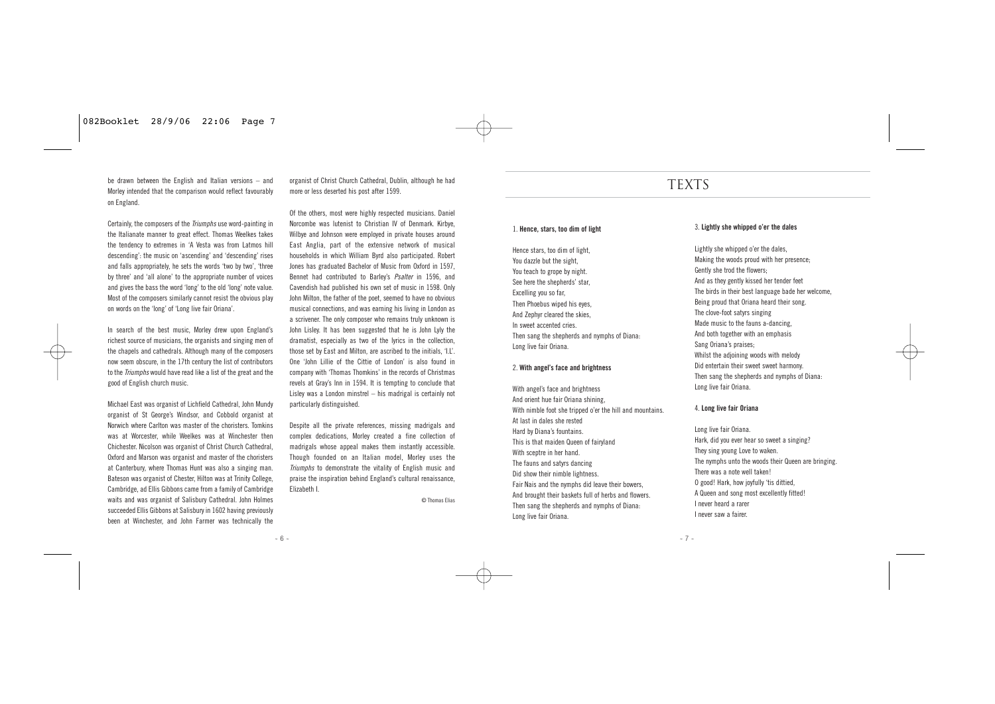be drawn between the English and Italian versions – and Morley intended that the comparison would reflect favourably on England.

Certainly, the composers of the Triumphs use word-painting in the Italianate manner to great effect. Thomas Weelkes takes the tendency to extremes in 'A Vesta was from Latmos hill descending': the music on 'ascending' and 'descending' rises and falls appropriately, he sets the words 'two by two', 'three by three' and 'all alone' to the appropriate number of voices and gives the bass the word 'long' to the old 'long' note value. Most of the composers similarly cannot resist the obvious play on words on the 'long' of 'Long live fair Oriana'.

In search of the best music, Morley drew upon England's richest source of musicians, the organists and singing men of the chapels and cathedrals. Although many of the composers now seem obscure, in the 17th century the list of contributors to the Triumphs would have read like a list of the great and the good of English church music.

Michael East was organist of Lichfield Cathedral, John Mundy organist of St George's Windsor, and Cobbold organist at Norwich where Carlton was master of the choristers. Tomkins was at Worcester, while Weelkes was at Winchester then Chichester. Nicolson was organist of Christ Church Cathedral, Oxford and Marson was organist and master of the choristers at Canterbury, where Thomas Hunt was also a singing man. Bateson was organist of Chester, Hilton was at Trinity College, Cambridge, ad Ellis Gibbons came from a family of Cambridge waits and was organist of Salisbury Cathedral. John Holmes succeeded Ellis Gibbons at Salisbury in 1602 having previously been at Winchester, and John Farmer was technically the

organist of Christ Church Cathedral, Dublin, although he had more or less deserted his post after 1599.

Of the others, most were highly respected musicians. Daniel Norcombe was lutenist to Christian IV of Denmark. Kirbye, Wilbye and Johnson were employed in private houses around East Anglia, part of the extensive network of musical households in which William Byrd also participated. Robert Jones has graduated Bachelor of Music from Oxford in 1597, Bennet had contributed to Barley's Psalter in 1596, and Cavendish had published his own set of music in 1598. Only John Milton, the father of the poet, seemed to have no obvious musical connections, and was earning his living in London as a scrivener. The only composer who remains truly unknown is John Lisley. It has been suggested that he is John Lyly the dramatist, especially as two of the lyrics in the collection, those set by East and Milton, are ascribed to the initials, 'I.L'. One 'John Lillie of the Cittie of London' is also found in company with 'Thomas Thomkins' in the records of Christmas revels at Gray's Inn in 1594. It is tempting to conclude that Lisley was a London minstrel – his madrigal is certainly not particularly distinguished.

Despite all the private references, missing madrigals and complex dedications, Morley created a fine collection of madrigals whose appeal makes them instantly accessible. Though founded on an Italian model, Morley uses the Triumphs to demonstrate the vitality of English music and praise the inspiration behind England's cultural renaissance, Elizabeth I.

© Thomas Elias

## **TEXTS**

#### 1. **Hence, stars, too dim of light**

Hence stars, too dim of light, You dazzle but the sight, You teach to grope by night. See here the shepherds' star, Excelling you so far, Then Phoebus wiped his eyes, And Zephyr cleared the skies, In sweet accented cries. Then sang the shepherds and nymphs of Diana: Long live fair Oriana.

#### 2. **With angel's face and brightness**

With angel's face and brightness And orient hue fair Oriana shining, With nimble foot she tripped o'er the hill and mountains. At last in dales she rested Hard by Diana's fountains. This is that maiden Queen of fairyland With sceptre in her hand. The fauns and satyrs dancing Did show their nimble lightness. Fair Nais and the nymphs did leave their bowers, And brought their baskets full of herbs and flowers. Then sang the shepherds and nymphs of Diana: Long live fair Oriana.

#### 3. **Lightly she whipped o'er the dales**

Lightly she whipped o'er the dales, Making the woods proud with her presence; Gently she trod the flowers; And as they gently kissed her tender feet The birds in their best language bade her welcome, Being proud that Oriana heard their song. The clove-foot satyrs singing Made music to the fauns a-dancing, And both together with an emphasis Sang Oriana's praises; Whilst the adjoining woods with melody Did entertain their sweet sweet harmony. Then sang the shepherds and nymphs of Diana: Long live fair Oriana.

#### 4. **Long live fair Oriana**

Long live fair Oriana. Hark, did you ever hear so sweet a singing? They sing young Love to waken. The nymphs unto the woods their Queen are bringing. There was a note well taken! O good! Hark, how joyfully 'tis dittied, A Queen and song most excellently fitted! I never heard a rarer I never saw a fairer.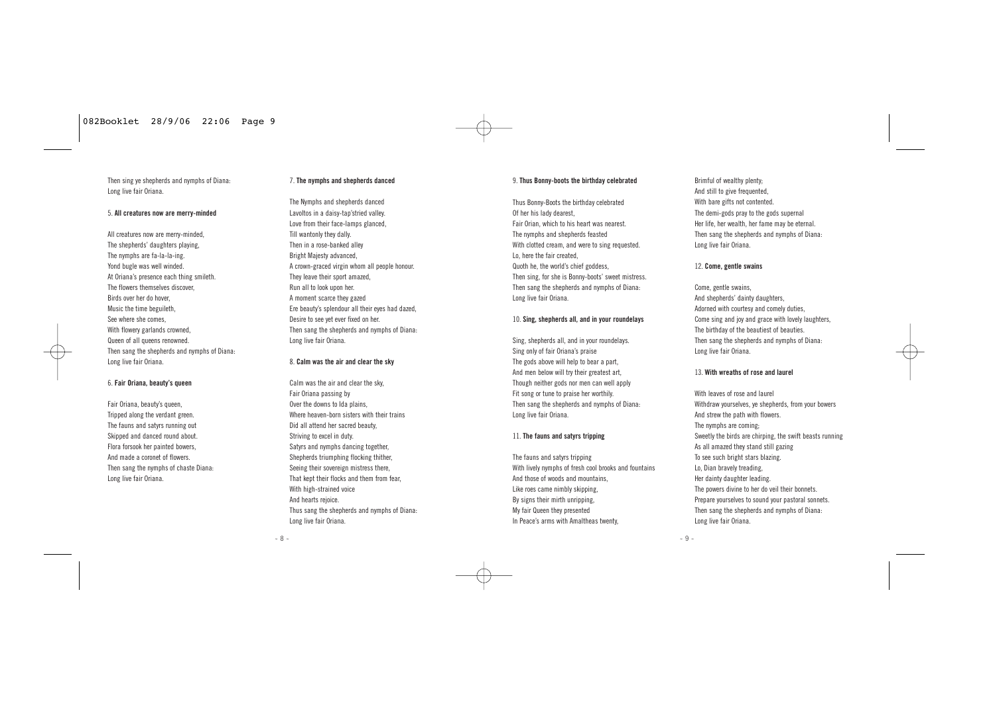Then sing ye shepherds and nymphs of Diana-Long live fair Oriana.

#### 5. **All creatures now are merry-minded**

All creatures now are merry-minded, The shepherds' daughters playing, The nymphs are fa-la-la-ing. Yond bugle was well winded. At Oriana's presence each thing smileth. The flowers themselves discover, Birds over her do hover, Music the time beguileth, See where she comes, With flowery garlands crowned Queen of all queens renowned. Then sang the shepherds and nymphs of Diana: Long live fair Oriana.

#### 6. **Fair Oriana, beauty's queen**

Fair Oriana, beauty's queen, Tripped along the verdant green The fauns and satyrs running out Skipped and danced round about. Flora forsook her painted bowers, And made a coronet of flowers. Then sang the nymphs of chaste Diana: Long live fair Oriana.

#### 7. **The nymphs and shepherds danced**

The Nymphs and shepherds danced Lavoltos in a daisy-tap'stried valley. Love from their face-lamps glanced, Till wantonly they dally. Then in a rose-banked alley Bright Majesty advanced, A crown-graced virgin whom all people honour. They leave their sport amazed, Run all to look upon her. A moment scarce they gazed Ere beauty's splendour all their eyes had dazed, Desire to see yet ever fixed on her. Then sang the shepherds and nymphs of Diana: Long live fair Oriana.

#### 8. **Calm was the air and clear the sky**

Calm was the air and clear the sky, Fair Oriana passing by Over the downs to Ida plains Where heaven-born sisters with their trains Did all attend her sacred beauty, Striving to excel in duty. Satyrs and nymphs dancing together Shepherds triumphing flocking thither Seeing their sovereign mistress there That kept their flocks and them from fear, With high-strained voice And hearts rejoice. Thus sang the shepherds and nymphs of Diana: Long live fair Oriana.

#### 9. **Thus Bonny-boots the birthday celebrated**

Thus Bonny-Boots the birthday celebrated Of her his lady dearest, Fair Orian, which to his heart was nearest. The nymphs and shepherds feasted With clotted cream, and were to sing requested. Lo, here the fair created, Quoth he, the world's chief goddess, Then sing, for she is Bonny-boots' sweet mistress. Then sang the shepherds and nymphs of Diana-Long live fair Oriana.

#### 10. **Sing, shepherds all, and in your roundelays**

Sing, shepherds all, and in your roundelays. Sing only of fair Oriana's praise The gods above will help to bear a part And men below will try their greatest art Though neither gods nor men can well annly Fit song or tune to praise her worthily. Then sang the shepherds and nymphs of Diana-Long live fair Oriana.

#### 11. **The fauns and satyrs tripping**

The fauns and satyrs tripping With lively nymphs of fresh cool brooks and fountains And those of woods and mountains, Like roes came nimbly skipping, By signs their mirth unrinning My fair Queen they presented In Peace's arms with Amaltheas twenty,

Brimful of wealthy plenty; And still to give frequented With bare gifts not contented. The demi-gods pray to the gods supernal Her life, her wealth, her fame may be eternal. Then sang the shepherds and nymphs of Diana-Long live fair Oriana.

#### 12. **Come, gentle swains**

Come, gentle swains, And shepherds' dainty daughters, Adorned with courtesy and comely duties, Come sing and joy and grace with lovely laughters, The birthday of the beautiest of beauties. Then sang the shepherds and nymphs of Diana-Long live fair Oriana.

#### 13. **With wreaths of rose and laurel**

With leaves of rose and laurel Withdraw yourselves, ye shepherds, from your bowers And strew the path with flowers. The nymphs are coming; Sweetly the birds are chirning, the swift beasts running As all amazed they stand still gazing To see such bright stars blazing. Lo, Dian bravely treading, Her dainty daughter leading. The powers divine to her do veil their bonnets. Prepare yourselves to sound your pastoral sonnets. Then sang the shepherds and nymphs of Diana: Long live fair Oriana.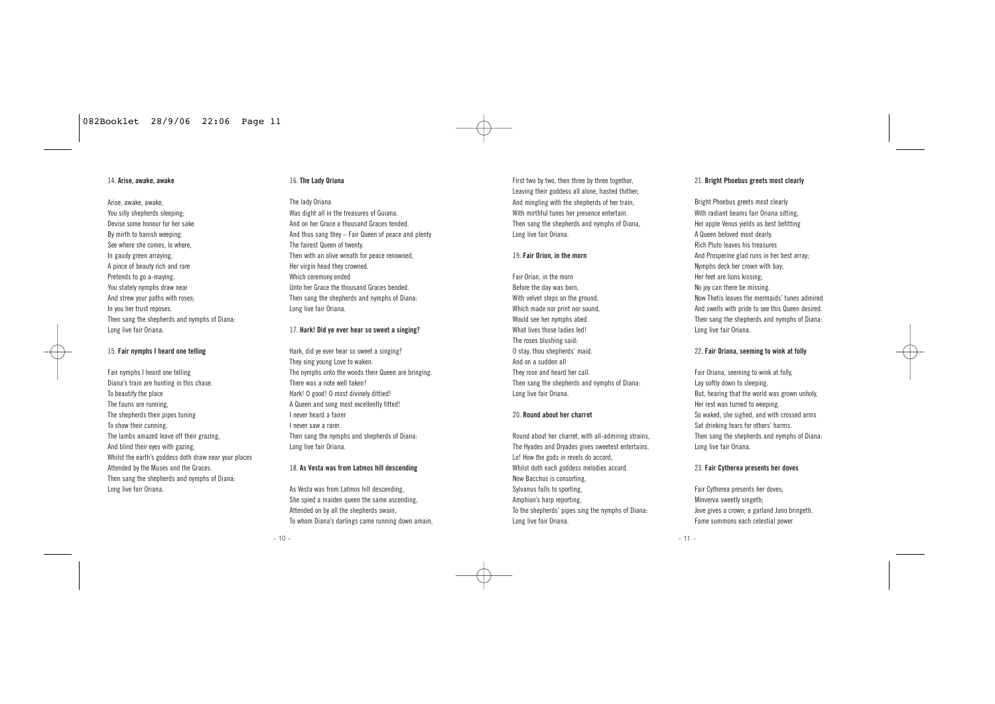#### 14. **Arise, awake, awake**

Arise, awake, awake, You silly shepherds sleeping: Devise some honour for her sake By mirth to banish weeping. See where she comes, lo where In gaudy green arraying, A pince of beauty rich and rare Pretends to go a-maying. You stately nymphs draw near And strew your paths with roses; In you her trust reposes. Then sang the shepherds and nymphs of Diana: Long live fair Oriana.

#### 15. **Fair nymphs I heard one telling**

Fair nymphs I heard one telling Diana's train are hunting in this chase. To beautify the place The fauns are running, The shepherds their pipes tuning To show their cunning. The lambs amazed leave off their grazing, And blind their eyes with gazing, Whilst the earth's goddess doth draw near your places Attended by the Muses and the Graces. Then sang the shepherds and nymphs of Diana: Long live fair Oriana.

#### 16. **The Lady Oriana**

The lady Oriana Was dight all in the treasures of Guiana. And on her Grace a thousand Graces tended. And thus sang they – Fair Queen of peace and plenty The fairest Queen of twenty. Then with an olive wreath for peace renowned, Her virgin head they crowned. Which ceremony ended Unto her Grace the thousand Graces bended. Then sang the shepherds and nymphs of Diana: Long live fair Oriana.

#### 17. **Hark! Did ye ever hear so sweet a singing?**

Hark, did ye ever hear so sweet a singing? They sing young Love to waken. The nymphs unto the woods their Queen are bringing. There was a note well taken! Hark! O good! O most divinely dittied! A Queen and song most excellently fitted! I never heard a fairer I never saw a rarer. Then sang the nymphs and shepherds of Diana-Long live fair Oriana.

#### 18. **As Vesta was from Latmos hill descending**

As Vesta was from Latmos hill descending, She spied a maiden queen the same ascending Attended on by all the shepherds swain To whom Diana's darlings came running down amain,

First two by two, then three by three together Leaving their goddess all alone, hasted thither; And mingling with the shepherds of her train, With mirthful tunes her presence entertain. Then sang the shepherds and nymphs of Diana, Long live fair Oriana.

#### 19. **Fair Orion, in the morn**

Fair Orian, in the morn Before the day was born, With velvet steps on the ground. Which made nor print nor sound Would see her nymphs abed. What lives those ladies led! The roses blushing said: O stay, thou shepherds' maid. And on a sudden all They rose and heard her call. Then sang the shepherds and nymphs of Diana-Long live fair Oriana.

#### 20. **Round about her charret**

Round about her charret, with all-admiring strains, The Hyades and Dryades gives sweetest entertains. Lo! How the gods in revels do accord, Whilst doth each goddess melodies accord. Now Bacchus is consorting, Sylvanus falls to sporting, Amphion's harp reporting To the shepherds' pipes sing the nymphs of Diana: Long live fair Oriana.

#### 21. **Bright Phoebus greets most clearly**

Bright Phoebus greets most clearly With radiant beams fair Oriana sitting, Her apple Venus yields as best befitting A Queen beloved most dearly. Rich Pluto leaves his treasures And Prosperine glad runs in her best array; Nymphs deck her crown with bay; Her feet are lions kissing; No joy can there be missing. Now Thetis leaves the mermaids' tunes admired And swells with pride to see this Queen desired. Then sang the shepherds and nymphs of Diana: Long live fair Oriana.

#### 22. **Fair Oriana, seeming to wink at folly**

Fair Oriana, seeming to wink at folly, Lay softly down to sleeping. But, hearing that the world was grown unholy, Her rest was turned to weeping. So waked, she sighed, and with crossed arms Sat drinking tears for others' harms. Then sang the shepherds and nymphs of Diana: Long live fair Oriana.

#### 23. **Fair Cytherea presents her doves**

Fair Cytherea presents her doves; Minverva sweetly singeth; Jove gives a crown; a garland Juno bringeth. Fame summons each celestial power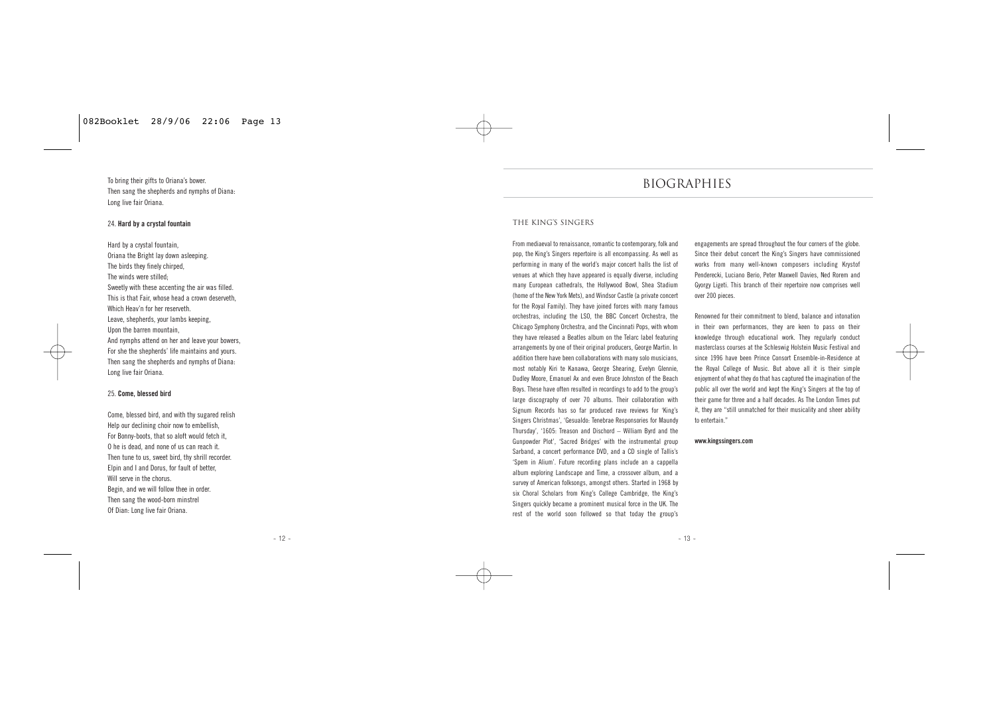To bring their gifts to Oriana's bower. Then sang the shepherds and nymphs of Diana-Long live fair Oriana.

#### 24. **Hard by a crystal fountain**

Hard by a crystal fountain, Oriana the Bright lay down asleeping. The birds they finely chirped, The winds were stilled; Sweetly with these accenting the air was filled. This is that Fair, whose head a crown deserveth, Which Heav'n for her reserveth Leave, shepherds, your lambs keeping, Upon the barren mountain, And nymphs attend on her and leave your bowers, For she the shepherds' life maintains and yours. Then sang the shepherds and nymphs of Diana-Long live fair Oriana.

#### 25. **Come, blessed bird**

Come, blessed bird, and with thy sugared relish Help our declining choir now to embellish, For Bonny-boots, that so aloft would fetch it O he is dead, and none of us can reach it. Then tune to us, sweet bird, thy shrill recorder. Elpin and I and Dorus, for fault of better, Will serve in the chorus. Begin, and we will follow thee in order. Then sang the wood-born minstrel Of Dian: Long live fair Oriana.

## BIOGRAPHIES

#### The King's Singers

From mediaeval to renaissance, romantic to contemporary, folk and pop, the King's Singers repertoire is all encompassing. As well as performing in many of the world's major concert halls the list of venues at which they have appeared is equally diverse, including many European cathedrals, the Hollywood Bowl, Shea Stadium (home of the New York Mets), and Windsor Castle (a private concert for the Royal Family). They have joined forces with many famous orchestras, including the LSO, the BBC Concert Orchestra, the Chicago Symphony Orchestra, and the Cincinnati Pops, with whom they have released a Beatles album on the Telarc label featuring arrangements by one of their original producers, George Martin. In addition there have been collaborations with many solo musicians, most notably Kiri te Kanawa, George Shearing, Evelyn Glennie, Dudley Moore, Emanuel Ax and even Bruce Johnston of the Beach Boys. These have often resulted in recordings to add to the group's large discography of over 70 albums. Their collaboration with Signum Records has so far produced rave reviews for 'King's Singers Christmas', 'Gesualdo: Tenebrae Responsories for Maundy Thursday', '1605: Treason and Dischord – William Byrd and the Gunpowder Plot', 'Sacred Bridges' with the instrumental group Sarband, a concert performance DVD, and a CD single of Tallis's 'Spem in Alium'. Future recording plans include an a cappella album exploring Landscape and Time, a crossover album, and a survey of American folksongs, amongst others. Started in 1968 by six Choral Scholars from King's College Cambridge, the King's Singers quickly became a prominent musical force in the UK. The rest of the world soon followed so that today the group's

engagements are spread throughout the four corners of the globe. Since their debut concert the King's Singers have commissioned works from many well-known composers including Krystof Penderecki, Luciano Berio, Peter Maxwell Davies, Ned Rorem and Gyorgy Ligeti. This branch of their repertoire now comprises well over 200 pieces.

Renowned for their commitment to blend, balance and intonation in their own performances, they are keen to pass on their knowledge through educational work. They regularly conduct masterclass courses at the Schleswig Holstein Music Festival and since 1996 have been Prince Consort Ensemble-in-Residence at the Royal College of Music. But above all it is their simple enjoyment of what they do that has captured the imagination of the public all over the world and kept the King's Singers at the top of their game for three and a half decades. As The London Times put it, they are "still unmatched for their musicality and sheer ability to entertain."

#### **www.kingssingers.com**